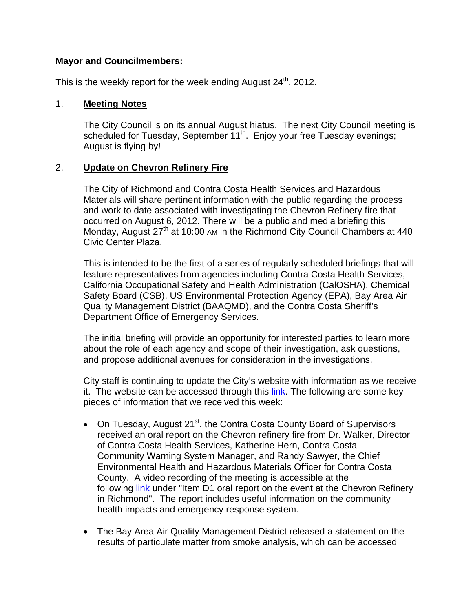#### **Mayor and Councilmembers:**

This is the weekly report for the week ending August  $24<sup>th</sup>$ , 2012.

## 1. **Meeting Notes**

The City Council is on its annual August hiatus. The next City Council meeting is scheduled for Tuesday, September 11<sup>th</sup>. Enjoy your free Tuesday evenings; August is flying by!

## 2. **Update on Chevron Refinery Fire**

The City of Richmond and Contra Costa Health Services and Hazardous Materials will share pertinent information with the public regarding the process and work to date associated with investigating the Chevron Refinery fire that occurred on August 6, 2012. There will be a public and media briefing this Monday, August  $27<sup>th</sup>$  at 10:00 AM in the Richmond City Council Chambers at 440 Civic Center Plaza.

This is intended to be the first of a series of regularly scheduled briefings that will feature representatives from agencies including Contra Costa Health Services, California Occupational Safety and Health Administration (CalOSHA), Chemical Safety Board (CSB), US Environmental Protection Agency (EPA), Bay Area Air Quality Management District (BAAQMD), and the Contra Costa Sheriff's Department Office of Emergency Services.

The initial briefing will provide an opportunity for interested parties to learn more about the role of each agency and scope of their investigation, ask questions, and propose additional avenues for consideration in the investigations.

City staff is continuing to update the City's website with information as we receive it. The website can be accessed through this link. The following are some key pieces of information that we received this week:

- On Tuesday, August 21<sup>st</sup>, the Contra Costa County Board of Supervisors received an oral report on the Chevron refinery fire from Dr. Walker, Director of Contra Costa Health Services, Katherine Hern, Contra Costa Community Warning System Manager, and Randy Sawyer, the Chief Environmental Health and Hazardous Materials Officer for Contra Costa County. A video recording of the meeting is accessible at the following link under "Item D1 oral report on the event at the Chevron Refinery in Richmond". The report includes useful information on the community health impacts and emergency response system.
- The Bay Area Air Quality Management District released a statement on the results of particulate matter from smoke analysis, which can be accessed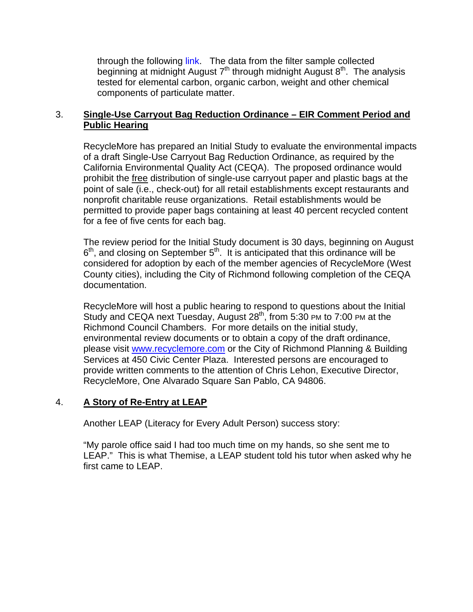through the following link. The data from the filter sample collected beginning at midnight August  $7<sup>th</sup>$  through midnight August  $8<sup>th</sup>$ . The analysis tested for elemental carbon, organic carbon, weight and other chemical components of particulate matter.

## 3. **Single-Use Carryout Bag Reduction Ordinance – EIR Comment Period and Public Hearing**

RecycleMore has prepared an Initial Study to evaluate the environmental impacts of a draft Single-Use Carryout Bag Reduction Ordinance, as required by the California Environmental Quality Act (CEQA). The proposed ordinance would prohibit the free distribution of single-use carryout paper and plastic bags at the point of sale (i.e., check-out) for all retail establishments except restaurants and nonprofit charitable reuse organizations. Retail establishments would be permitted to provide paper bags containing at least 40 percent recycled content for a fee of five cents for each bag.

The review period for the Initial Study document is 30 days, beginning on August  $6<sup>th</sup>$ , and closing on September  $5<sup>th</sup>$ . It is anticipated that this ordinance will be considered for adoption by each of the member agencies of RecycleMore (West County cities), including the City of Richmond following completion of the CEQA documentation.

RecycleMore will host a public hearing to respond to questions about the Initial Study and CEQA next Tuesday, August 28<sup>th</sup>, from 5:30 PM to 7:00 PM at the Richmond Council Chambers. For more details on the initial study, environmental review documents or to obtain a copy of the draft ordinance, please visit www.recyclemore.com or the City of Richmond Planning & Building Services at 450 Civic Center Plaza. Interested persons are encouraged to provide written comments to the attention of Chris Lehon, Executive Director, RecycleMore, One Alvarado Square San Pablo, CA 94806.

#### 4. **A Story of Re-Entry at LEAP**

Another LEAP (Literacy for Every Adult Person) success story:

"My parole office said I had too much time on my hands, so she sent me to LEAP." This is what Themise, a LEAP student told his tutor when asked why he first came to LEAP.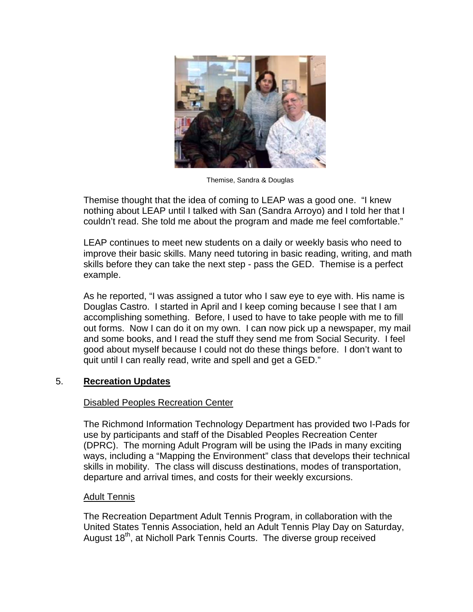

Themise, Sandra & Douglas

Themise thought that the idea of coming to LEAP was a good one. "I knew nothing about LEAP until I talked with San (Sandra Arroyo) and I told her that I couldn't read. She told me about the program and made me feel comfortable."

LEAP continues to meet new students on a daily or weekly basis who need to improve their basic skills. Many need tutoring in basic reading, writing, and math skills before they can take the next step - pass the GED. Themise is a perfect example.

As he reported, "I was assigned a tutor who I saw eye to eye with. His name is Douglas Castro. I started in April and I keep coming because I see that I am accomplishing something. Before, I used to have to take people with me to fill out forms. Now I can do it on my own. I can now pick up a newspaper, my mail and some books, and I read the stuff they send me from Social Security. I feel good about myself because I could not do these things before. I don't want to quit until I can really read, write and spell and get a GED."

#### **Recreation Updates**  $5<sub>1</sub>$

#### **Disabled Peoples Recreation Center**

The Richmond Information Technology Department has provided two I-Pads for use by participants and staff of the Disabled Peoples Recreation Center (DPRC). The morning Adult Program will be using the IPads in many exciting ways, including a "Mapping the Environment" class that develops their technical skills in mobility. The class will discuss destinations, modes of transportation, departure and arrival times, and costs for their weekly excursions.

#### **Adult Tennis**

The Recreation Department Adult Tennis Program, in collaboration with the United States Tennis Association, held an Adult Tennis Play Day on Saturday, August 18<sup>th</sup>, at Nicholl Park Tennis Courts. The diverse group received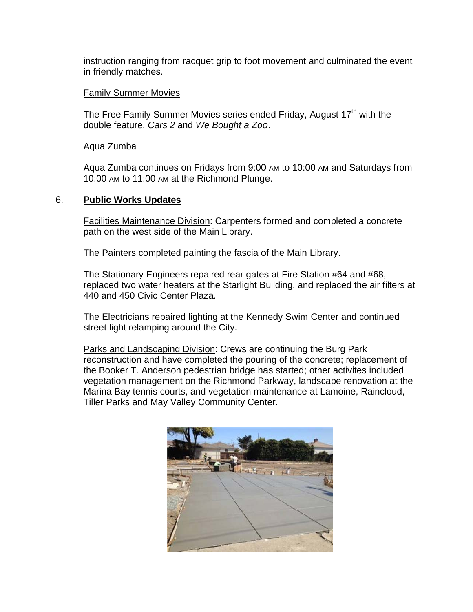instruction ranging from racquet grip to foot movement and culminated the event in friendly matches.

#### **Family Summer Movies**

The Free Family Summer Movies series ended Friday, August 17<sup>th</sup> with the double feature, Cars 2 and We Bought a Zoo.

#### Aqua Zumba

Aqua Zumba continues on Fridays from 9:00 AM to 10:00 AM and Saturdays from 10:00 AM to 11:00 AM at the Richmond Plunge.

#### 6. **Public Works Updates**

Facilities Maintenance Division: Carpenters formed and completed a concrete path on the west side of the Main Library.

The Painters completed painting the fascia of the Main Library.

The Stationary Engineers repaired rear gates at Fire Station #64 and #68, replaced two water heaters at the Starlight Building, and replaced the air filters at 440 and 450 Civic Center Plaza.

The Electricians repaired lighting at the Kennedy Swim Center and continued street light relamping around the City.

Parks and Landscaping Division: Crews are continuing the Burg Park reconstruction and have completed the pouring of the concrete; replacement of the Booker T. Anderson pedestrian bridge has started; other activites included vegetation management on the Richmond Parkway, landscape renovation at the Marina Bay tennis courts, and vegetation maintenance at Lamoine, Raincloud, Tiller Parks and May Valley Community Center.

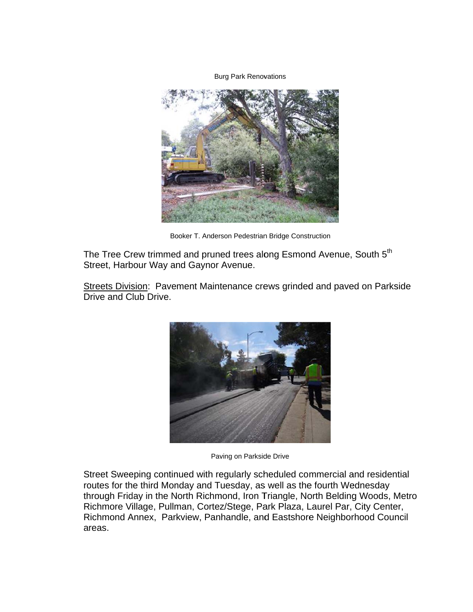**Burg Park Renovations** 



Booker T. Anderson Pedestrian Bridge Construction

The Tree Crew trimmed and pruned trees along Esmond Avenue, South 5<sup>th</sup> Street, Harbour Way and Gaynor Avenue.

Streets Division: Pavement Maintenance crews grinded and paved on Parkside Drive and Club Drive.



Paving on Parkside Drive

Street Sweeping continued with regularly scheduled commercial and residential routes for the third Monday and Tuesday, as well as the fourth Wednesday through Friday in the North Richmond, Iron Triangle, North Belding Woods, Metro Richmore Village, Pullman, Cortez/Stege, Park Plaza, Laurel Par, City Center, Richmond Annex, Parkview, Panhandle, and Eastshore Neighborhood Council areas.